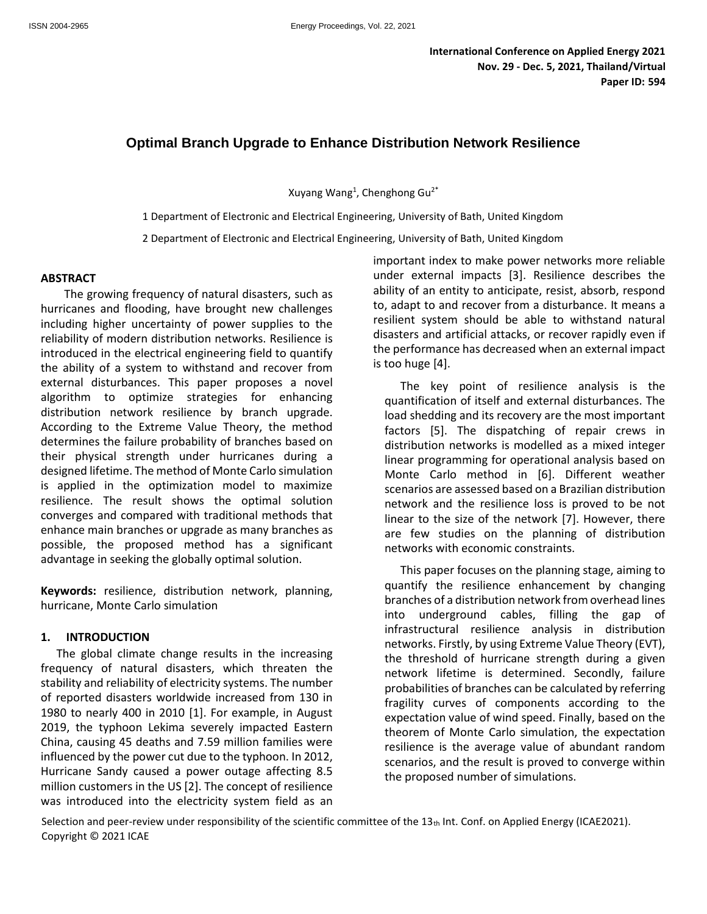# **Optimal Branch Upgrade to Enhance Distribution Network Resilience**

Xuyang Wang<sup>1</sup>, Chenghong Gu<sup>2\*</sup>

1 Department of Electronic and Electrical Engineering, University of Bath, United Kingdom

2 Department of Electronic and Electrical Engineering, University of Bath, United Kingdom

#### **ABSTRACT**

The growing frequency of natural disasters, such as hurricanes and flooding, have brought new challenges including higher uncertainty of power supplies to the reliability of modern distribution networks. Resilience is introduced in the electrical engineering field to quantify the ability of a system to withstand and recover from external disturbances. This paper proposes a novel algorithm to optimize strategies for enhancing distribution network resilience by branch upgrade. According to the Extreme Value Theory, the method determines the failure probability of branches based on their physical strength under hurricanes during a designed lifetime. The method of Monte Carlo simulation is applied in the optimization model to maximize resilience. The result shows the optimal solution converges and compared with traditional methods that enhance main branches or upgrade as many branches as possible, the proposed method has a significant advantage in seeking the globally optimal solution.

**Keywords:** resilience, distribution network, planning, hurricane, Monte Carlo simulation

#### **1. INTRODUCTION**

The global climate change results in the increasing frequency of natural disasters, which threaten the stability and reliability of electricity systems. The number of reported disasters worldwide increased from 130 in 1980 to nearly 400 in 2010 [1]. For example, in August 2019, the typhoon Lekima severely impacted Eastern China, causing 45 deaths and 7.59 million families were influenced by the power cut due to the typhoon. In 2012, Hurricane Sandy caused a power outage affecting 8.5 million customers in the US [2]. The concept of resilience was introduced into the electricity system field as an

important index to make power networks more reliable under external impacts [3]. Resilience describes the ability of an entity to anticipate, resist, absorb, respond to, adapt to and recover from a disturbance. It means a resilient system should be able to withstand natural disasters and artificial attacks, or recover rapidly even if the performance has decreased when an external impact is too huge [4].

The key point of resilience analysis is the quantification of itself and external disturbances. The load shedding and its recovery are the most important factors [5]. The dispatching of repair crews in distribution networks is modelled as a mixed integer linear programming for operational analysis based on Monte Carlo method in [6]. Different weather scenarios are assessed based on a Brazilian distribution network and the resilience loss is proved to be not linear to the size of the network [7]. However, there are few studies on the planning of distribution networks with economic constraints.

This paper focuses on the planning stage, aiming to quantify the resilience enhancement by changing branches of a distribution network from overhead lines into underground cables, filling the gap of infrastructural resilience analysis in distribution networks. Firstly, by using Extreme Value Theory (EVT), the threshold of hurricane strength during a given network lifetime is determined. Secondly, failure probabilities of branches can be calculated by referring fragility curves of components according to the expectation value of wind speed. Finally, based on the theorem of Monte Carlo simulation, the expectation resilience is the average value of abundant random scenarios, and the result is proved to converge within the proposed number of simulations.

Selection and peer-review under responsibility of the scientific committee of the  $13<sub>th</sub>$  Int. Conf. on Applied Energy (ICAE2021). Copyright © 2021 ICAE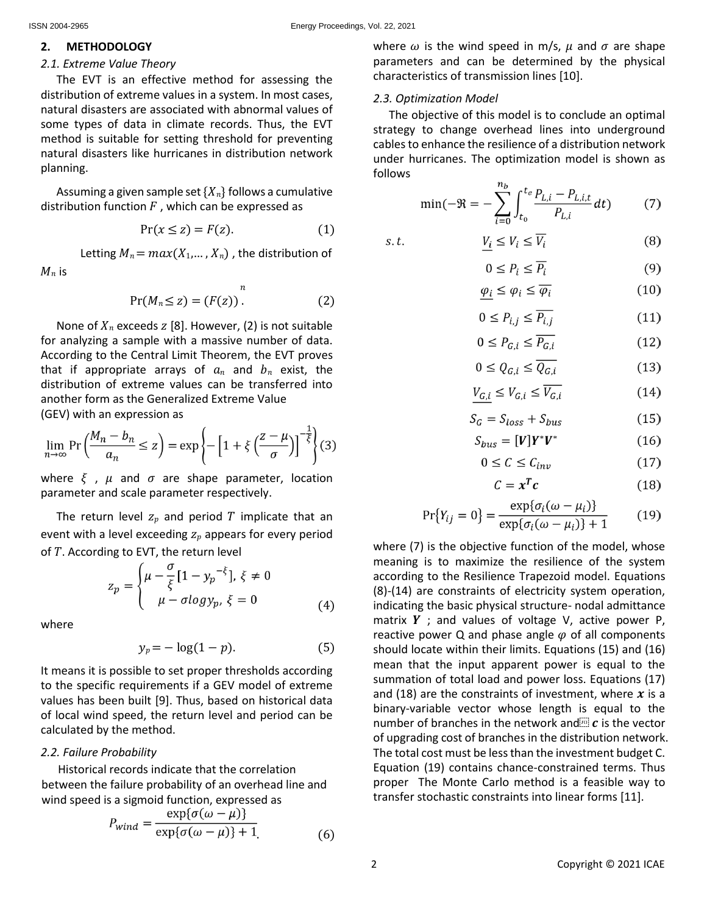$M_n$  is

### **2. METHODOLOGY**

# *2.1. Extreme Value Theory*

The EVT is an effective method for assessing the distribution of extreme values in a system. In most cases, natural disasters are associated with abnormal values of some types of data in climate records. Thus, the EVT method is suitable for setting threshold for preventing natural disasters like hurricanes in distribution network planning.

Assuming a given sample set  $\{X_n\}$  follows a cumulative distribution function  $F$ , which can be expressed as

$$
Pr(x \le z) = F(z). \tag{1}
$$

Letting  $M_n = max(X_1,..., X_n)$ , the distribution of

$$
Pr(M_n \le z) = (F(z)).
$$
\n(2)

None of  $X_n$  exceeds  $Z$  [8]. However, (2) is not suitable for analyzing a sample with a massive number of data. According to the Central Limit Theorem, the EVT proves that if appropriate arrays of  $a_n$  and  $b_n$  exist, the distribution of extreme values can be transferred into another form as the Generalized Extreme Value (GEV) with an expression as

$$
\lim_{n \to \infty} \Pr\left(\frac{M_n - b_n}{a_n} \le z\right) = \exp\left\{-\left[1 + \xi \left(\frac{z - \mu}{\sigma}\right)\right]^{-\frac{1}{\xi}}\right\}(3)
$$

where  $\xi$ ,  $\mu$  and  $\sigma$  are shape parameter, location parameter and scale parameter respectively.

The return level  $z_p$  and period  $T$  implicate that an event with a level exceeding  $z_p$  appears for every period of  $T$ . According to EVT, the return level

$$
z_p = \begin{cases} \mu - \frac{\sigma}{\xi} [1 - y_p^{-\xi}], \xi \neq 0\\ \mu - \sigma \log y_p, \xi = 0 \end{cases}
$$
 (4)

where

$$
y_p = -\log(1-p). \tag{5}
$$

It means it is possible to set proper thresholds according to the specific requirements if a GEV model of extreme values has been built [9]. Thus, based on historical data of local wind speed, the return level and period can be calculated by the method.

# *2.2. Failure Probability*

Historical records indicate that the correlation between the failure probability of an overhead line and wind speed is a sigmoid function, expressed as

$$
P_{wind} = \frac{\exp{\{\sigma(\omega - \mu)\}}}{\exp{\{\sigma(\omega - \mu)\} + 1}} \tag{6}
$$

where  $\omega$  is the wind speed in m/s,  $\mu$  and  $\sigma$  are shape parameters and can be determined by the physical characteristics of transmission lines [10].

# *2.3. Optimization Model*

The objective of this model is to conclude an optimal strategy to change overhead lines into underground cables to enhance the resilience of a distribution network under hurricanes. The optimization model is shown as follows

$$
\min(-\mathfrak{R} = -\sum_{i=0}^{n_b} \int_{t_0}^{t_e} \frac{P_{L,i} - P_{L,i,t}}{P_{L,i}} dt) \tag{7}
$$

$$
S. t. \t\t \t\t \underline{V_i} \le V_i \le \overline{V_i} \t\t (8)
$$

$$
0 \le P_i \le \overline{P_i} \tag{9}
$$

$$
\underline{\varphi_i} \le \varphi_i \le \overline{\varphi_i} \tag{10}
$$

$$
0 \le P_{i,j} \le \overline{P_{i,j}} \tag{11}
$$

$$
0 \le P_{G,i} \le \overline{P_{G,i}} \tag{12}
$$

$$
0 \le Q_{G,i} \le \overline{Q_{G,i}} \tag{13}
$$

$$
V_{G,i} \le V_{G,i} \le \overline{V_{G,i}} \tag{14}
$$

$$
S_G = S_{loss} + S_{bus}
$$
 (15)

$$
S_{bus} = [V]Y^*V^* \tag{16}
$$

$$
0 \le C \le C_{inv} \tag{17}
$$

$$
C = x^T c \tag{18}
$$

$$
Pr{Y_{ij} = 0} = \frac{\exp{\{\sigma_i(\omega - \mu_i)\}}}{\exp{\{\sigma_i(\omega - \mu_i)\} + 1}}
$$
(19)

where (7) is the objective function of the model, whose meaning is to maximize the resilience of the system according to the Resilience Trapezoid model. Equations (8)-(14) are constraints of electricity system operation, indicating the basic physical structure- nodal admittance matrix  $Y$ ; and values of voltage V, active power P, reactive power Q and phase angle  $\varphi$  of all components should locate within their limits. Equations (15) and (16) mean that the input apparent power is equal to the summation of total load and power loss. Equations (17) and (18) are the constraints of investment, where  $x$  is a binary-variable vector whose length is equal to the number of branches in the network and  $\boldsymbol{c}$  is the vector of upgrading cost of branches in the distribution network. The total cost must be less than the investment budget C. Equation (19) contains chance-constrained terms. Thus proper The Monte Carlo method is a feasible way to transfer stochastic constraints into linear forms [11].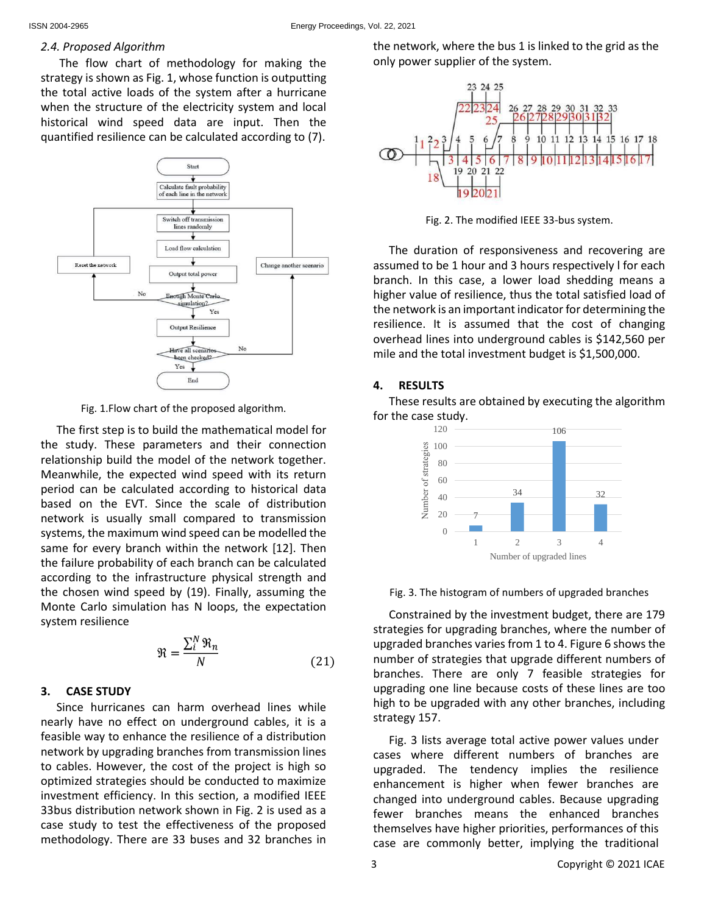### *2.4. Proposed Algorithm*

The flow chart of methodology for making the strategy is shown as Fig. 1, whose function is outputting the total active loads of the system after a hurricane when the structure of the electricity system and local historical wind speed data are input. Then the quantified resilience can be calculated according to (7).



Fig. 1.Flow chart of the proposed algorithm.

The first step is to build the mathematical model for the study. These parameters and their connection relationship build the model of the network together. Meanwhile, the expected wind speed with its return period can be calculated according to historical data based on the EVT. Since the scale of distribution network is usually small compared to transmission systems, the maximum wind speed can be modelled the same for every branch within the network [12]. Then the failure probability of each branch can be calculated according to the infrastructure physical strength and the chosen wind speed by (19). Finally, assuming the Monte Carlo simulation has N loops, the expectation system resilience

$$
\mathfrak{R} = \frac{\sum_{i}^{N} \mathfrak{R}_n}{N} \tag{21}
$$

### **3. CASE STUDY**

Since hurricanes can harm overhead lines while nearly have no effect on underground cables, it is a feasible way to enhance the resilience of a distribution network by upgrading branches from transmission lines to cables. However, the cost of the project is high so optimized strategies should be conducted to maximize investment efficiency. In this section, a modified IEEE 33bus distribution network shown in Fig. 2 is used as a case study to test the effectiveness of the proposed methodology. There are 33 buses and 32 branches in

the network, where the bus 1 is linked to the grid as the only power supplier of the system.



Fig. 2. The modified IEEE 33-bus system.

The duration of responsiveness and recovering are assumed to be 1 hour and 3 hours respectively l for each branch. In this case, a lower load shedding means a higher value of resilience, thus the total satisfied load of the network is an important indicator for determining the resilience. It is assumed that the cost of changing overhead lines into underground cables is \$142,560 per mile and the total investment budget is \$1,500,000.

### **4. RESULTS**

These results are obtained by executing the algorithm for the case study.



Fig. 3. The histogram of numbers of upgraded branches

Constrained by the investment budget, there are 179 strategies for upgrading branches, where the number of upgraded branches varies from 1 to 4. Figure 6 shows the number of strategies that upgrade different numbers of branches. There are only 7 feasible strategies for upgrading one line because costs of these lines are too high to be upgraded with any other branches, including strategy 157.

Fig. 3 lists average total active power values under cases where different numbers of branches are upgraded. The tendency implies the resilience enhancement is higher when fewer branches are changed into underground cables. Because upgrading fewer branches means the enhanced branches themselves have higher priorities, performances of this case are commonly better, implying the traditional